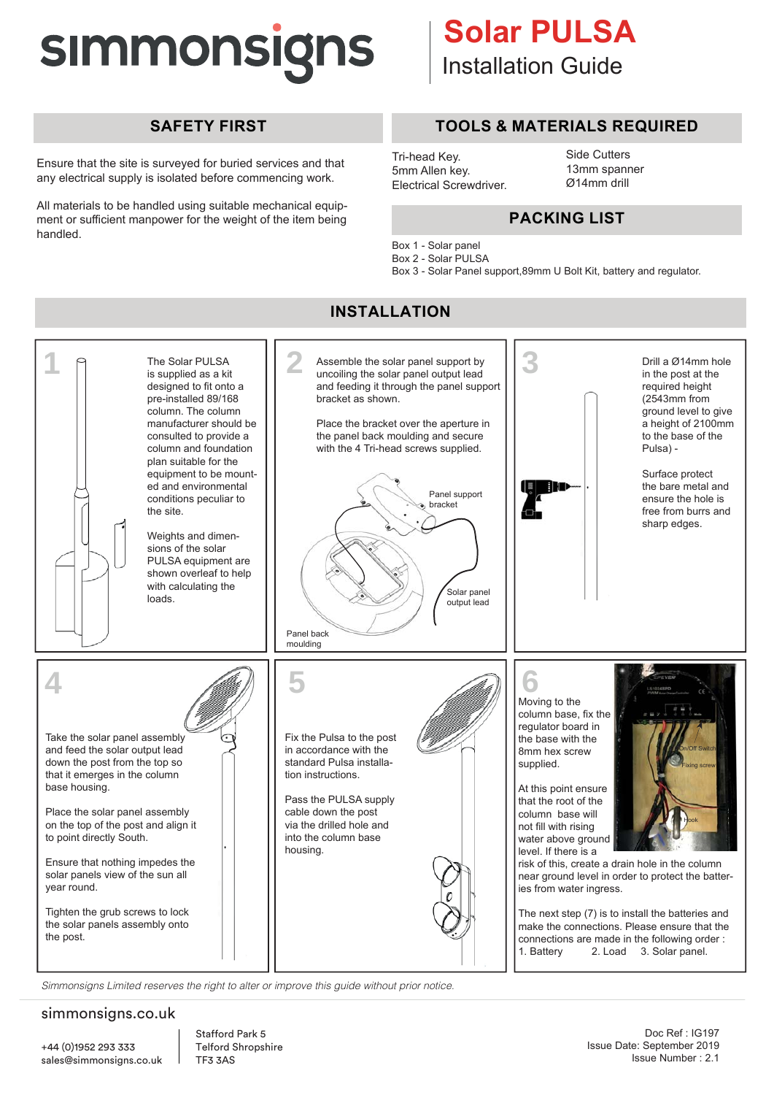# **SIMMONSIGNS**

## **Installation Guide Solar PULSA**

### **SAFETY FIRST**

Ensure that the site is surveyed for buried services and that any electrical supply is isolated before commencing work.

All materials to be handled using suitable mechanical equipment or sufficient manpower for the weight of the item being handled.

### **TOOLS & MATERIALS REQUIRED**

Tri-head Key. 5mm Allen key. Electrical Screwdriver. Side Cutters 13mm spanner Ø14mm drill

### **PACKING LIST**

- Box 1 Solar panel
- Box 2 Solar PULSA
- Box 3 Solar Panel support,89mm U Bolt Kit, battery and regulator.



*Simmonsigns Limited reserves the right to alter or improve this guide without prior notice.*

#### simmonsigns.co.uk

Stafford Park 5 Telford Shropshire TF3 3AS

#### Doc Ref : IG197 Issue Date: September 2019 Issue Number: 2 Issue Number : 2.1

#### **INSTALLATION**